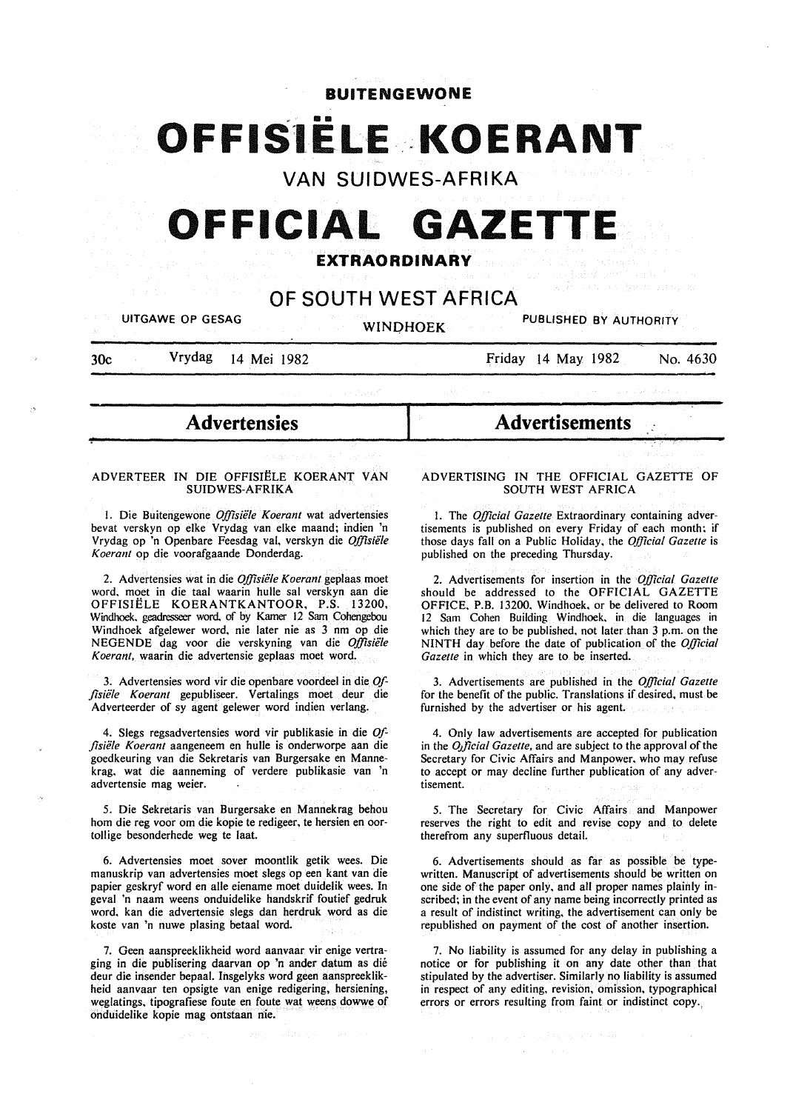# **BUITENGEWONE**

# OFFISIELE KOERANT

**VAN SUIDWES-AFRIKA** 

# **OFFICIAL GAZETTI**

# **EXTRAORDINARY**

# **OF SOUTH WEST AFRICA**

UITGAWE OP GESAG WINDHOEK PUBLISHED BY AUTHORITY

~

30c Vrydag 14 Mei 1982

Friday 14 May 1982 No. 4630

- **Advertensies** 

#### ADVERTEER IN DIE OFFISIELE KOERANT VAN SUIDWES-AFRIKA

I. Die Buitengewone *Offisiele Koerant* wat advertensies bevat verskyn op elke Vrydag van elke maand; indien 'n Vrydag op 'n Openbare Feesdag val, verskyn die *Offisiele Koerant* op die voorafgaande Donderdag.

2. Advertensies wat in die *Offisiële Koerant* geplaas moet word. moet in die taal waarin hulle sal verskyn aan die OFFISIELE KOERANTKANTOOR, P.S. 13200, Windhoek. geadresseer word. of by Kamer 12 Sam Cohengebou Windhoek afgelewer word, nie later nie as 3 nm op die NEGENDE dag voor die verskyning van die *Offisiele Koerant,* waarin die advertensie geplaas moet word.

3. Advertensies word vir die openbare voordeel in die *Offisiele Koerant* gepubliseer. Vertalings moet deur die Adverteerder of sy agent gelewer word indien verlang.

4. Slegs regsadvertensies word vir publikasie in die *0/ flsiele Koerant* aangeneem en hulle is onderworpe aan die goedkeuring van die Sekretaris van Burgersake en Mannekrag. wat die aanneming of verdere publikasie van 'n advertensie mag weier.

5. Die Sekretaris van Burgersake en Mannekrag behou hom die reg voor om die kopie te redigeer, te hersien en oortollige besonderhede weg te laat.

6. Advertensies moet sover moontlik getik wees. Die manuskrip van advertensies moet slegs op een kant van die papier geskryf word en aile eiename moet duidelik wees. In geval 'n naam weens onduidelike handskrif foutief gedruk word. kan die advertensie slegs dan herdruk word as die koste van 'n nuwe plasing betaal word.

7. Geen aanspreeklikheid word aanvaar vir enige vertraging in die publisering daarvan op 'n ander datum as die deur die insender bepaal. Insgelyks word geen aanspreeklikheid aanvaar ten opsigte van enige redigering, hersiening, weglatings, tipografiese foute en foute wat weens dowwe of onduidelike kopie mag ontstaan nie.

**Advertisements** 

#### ADVERTISING IN THE OFFICIAL GAZETTE OF SOUTH WEST AFRICA

I. The *Official Gazette* Extraordinary containing advertisements is published on every Friday of each month; if those days fall on a Public Holiday. the *Official Gazette* is published on the preceding Thursday.

2. Advertisements for insertion in the *Official Gazette*  should be addressed to the OFFICIAL GAZETTE OFFICE, P.B. 13200. Windhoek. or be delivered to Room 12 Sam Cohen Building Windhoek. in die languages in which they are to be published. not later than 3 p.m. on the NINTH day before the date of publication of the *Official Gazette* in which they are to be inserted.

3. Advertisements are published in the *Official Gazette*  for the benefit of the public. Translations if desired. must be furnished by the advertiser or his agent.

4. Only law advertisements are accepted for publication in the *D.Jjicial Gazette,* and are subject to the approval of the Secretary for Civic Affairs and Manpower. who may refuse to accept or may decline further publication of any advertisement.

5. The Secretary for Civic Affairs. and Manpower reserves the right to edit and revise copy and to delete therefrom any superfluous detail.

6. Advertisements should as far as possible be typewritten. Manuscript of advertisements should be written on one side of the paper only, and all proper names plainly inscribed; in the event of any name being incorrectly printed as a result of indistinct writing, the advertisement can only be republished on payment of the cost of another insertion.

7. No liability is assumed for any delay in publishing a notice or for publishing it on any date other than that stipulated by the advertiser. Similarly no liability is assumed in respect of any editing. revision, omission, typographical errors or errors resulting from faint or indistinct copy.,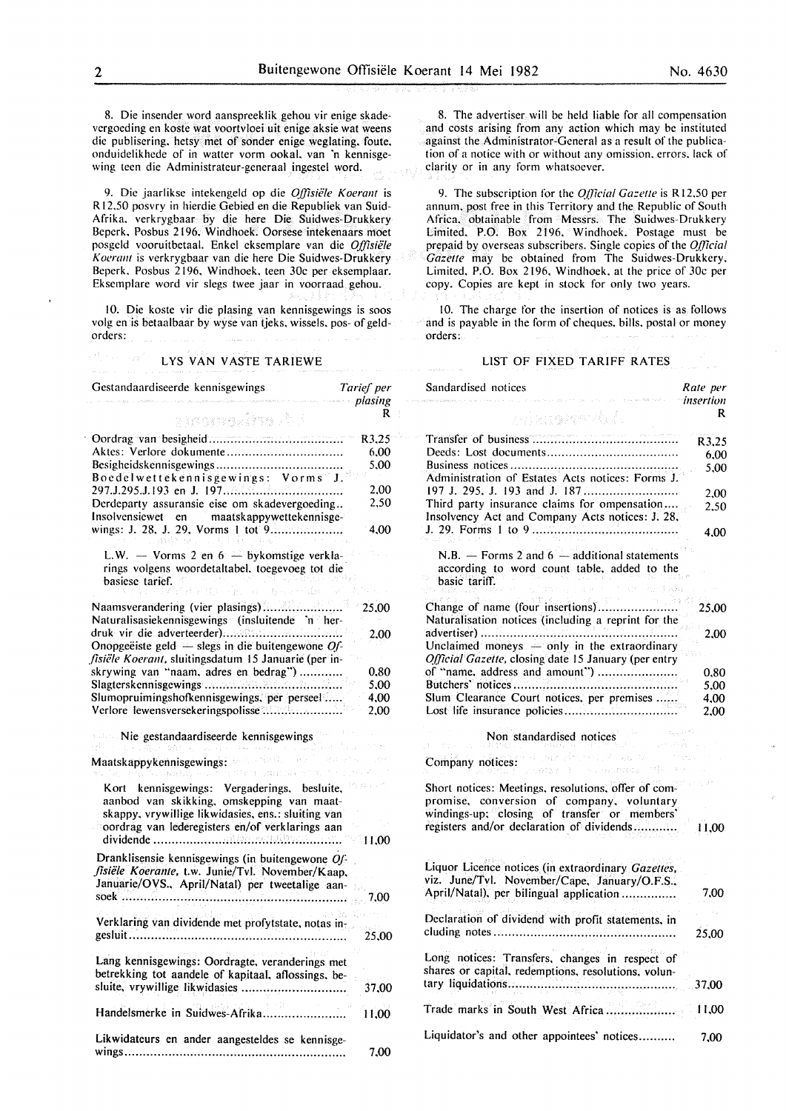8. Die insender word aanspreeklik gehou vir enige skadevergoeding en koste wat voortvloei uit enige aksie wat weens die publisering. hetsy met of sonder enige weglating. foute. onduidelikhede of in watter vorm ookal. van 'n kennisgewing teen die Administrateur-generaal ingestel word.

9. Die jaarlikse intekengeld op die *O.ffisiele Koerant* is R 12.50 posvry in hierdie Gebied en die Republiek van Suid-Afrika. verkrygbaar by die here Die Suidwes-Drukkery Beperk. Posbus 2196. Windhoek. Oorsese intekenaars moet posgeld vooruitbetaal. Enkel eksemplare van die *Of{lsiele Koerant* is verkrygbaar van die here Die Suidwes-Drukkery Beperk. Posbus 2196. Windhoek. teen 30c per eksemplaar. Ekscmplare word vir slegs twee jaar in voorraad gehou.

10. Die koste vir die plasing van kennisgewings is soos volg en is betaalbaar by wyse van tjeks, wissels. pos- of geldorders:

#### LYS VAN VASTE TARIEWE

Gestandaardiseerde kennisgewings *Tarief per plasing*  R a transains de l · Oordrag van besigheid .................................... .  $R3.25$ Aktcs: Verlore dokumente ............................... . 6.00 Besigheidskennisgewings .................................. . 5,00 Boedelwettekennisgewings: Vorms J. 297.J.295.J.I93 en J. 197 ................................ . 2.00 Derdeparty assuransie eise om skadevergoeding .. 2.50 lnsolvensiewet en maatskappywettekennisgewings: J. 28. J. 29, Vorms I tot 9 ................... . 4.00 L.W.  $-$  Vorms 2 en  $6 -$  bykomstige verklarings volgens woordetaltabel. toegevoeg tot die basiese tarief. Naamsverandering (vier plasings)....................... 25.00 Naturalisasiekennisgewings (insluitende 'n herdruk vir die adverteerder) ................................ . 2.00 Onopgeeiste geld - slegs in die buitengewone *Offisiële Koerant, sluitingsdatum 15 Januarie (per in*skrywing van "naam. adres en bedrag") ........... . 0.80 Slagterskennisgewings ..................................... . 5.00 SlumopruimingshotKennisgewings. per perseel .... . 4.00 Verlore lewensversekeringspolisse ..................... . 2.00 Nie gestandaardiseerde kennisgewings Sept. See Maatskappykennisgewings: President payment Kort kennisgewings: Vergaderings. besluite. aanbod van skikking. omskepping van maatskappy. vrywillige likwidasies, ens.: sluiting van oordrag van lederegisters en/of verklarings aan dividende ......................... ;.......................... I 1.00 Dranklisensie kennisgewings (in buitengewone *01: flsiele Koeranle,* t.w. Junie/Tvl. November/Kaap, Januarie/OVS., April/Natal) per tweetalige aansoek .............................................................. 7,00 Verklaring van dividende met profytstate, notas ingesluit............................................................ 25,00 Lang kennisgewings: Oordragte, veranderings met betrekking tot aandele of kapitaal, aflossings. besluite, vrywillige likwidasies ............................. 37,00 Handelsmerke in Suidwes-Afrika....................... I 1.00 Likwidateurs en ander aangesteldes se kennisgewings............................................................. 7,00

8. The advertiser will be held liable for all compensation and costs arising from any action which may be instituted against the Administrator-General as a result of the publication of a notice with or without any omission. errors. lack of clarity or in any form whatsoever.

9. The subscription for the *Official Gazette* is R12.50 per annum. post free in this Territory and the Republic of South Africa. obtainable from Messrs. The Suidwes-Drukkery Limited. P.O. Box 2196. Windhoek. Postage must be prepaid by overseas subscribers. Single copies of the *O.f]icial Gazette* may be obtained from The Suidwes-Drukkery. Limited. P.O. Box 2196. Windhoek. at the price of 30c per copy. Copies are kept in stock for only two years.

10. The charge for the insertion of notices is as follows and is payable in the form of cheques. bills. postal or money orders:

#### LIST OF FIXED TARIFF RATES

Sandardised notices *Rate per insertion*  R relangiyat di A Transfer of business ....................................... . R3,25 Deeds: Lost documents ................................... . 6,00 Business notices ............................................. . 5,00 Administration of Estates Acts notices: Forms J. 197 J. 295. J. 193 and J. 187 ......................... . 2.00 Third party insurance claims for ompensation.... 2.50 Insolvency Act and Company Acts notices: J. 28. J. 29. Forms I to 9 ....................................... . 4,00 N.B.  $-$  Forms 2 and  $6 -$  additional statements according to word count table. added to the basic tariff. Change of name (four insertions)...................... 25.00 Naturalisation notices (including a reprint for the advertiser) ..................................................... . 2,00 Unclaimed moneys  $-$  only in the extraordinary *0./Jicial Gazette,* closing date 15 January (per entry of "name. address and amount") ..................... . 0,80 Butchers' notices ............................................ . 5.00 Slum Clearance Court notices, per premises ..... . 4.00 Lost life insurance policies .............................. . 2,00 Non standardised notices Company notices: 2008 (2009) and 2009 Short notices: Meetings, resolutions, offer of compromise, conversion of company. voluntary windings-up; closing of transfer or members' registers and/or declaration of dividends............ 11.00 Liquor Licence notices (in extraordinary *Gazettes*, viz. June/Tvl. November/Cape, January/O.F.S., April/Natal), per bilingual application ............... 7,00 Declaration of dividend with profit statements, in eluding notes.................................................. 25,00 Long notices: Transfers, changes in respect of shares or capital. redemptions. resolutions, voluntary liquidations.............................................. 37,00 Trade marks in South West Africa................... I 1.00 Liquidator's and other appointees' notices.......... 7,00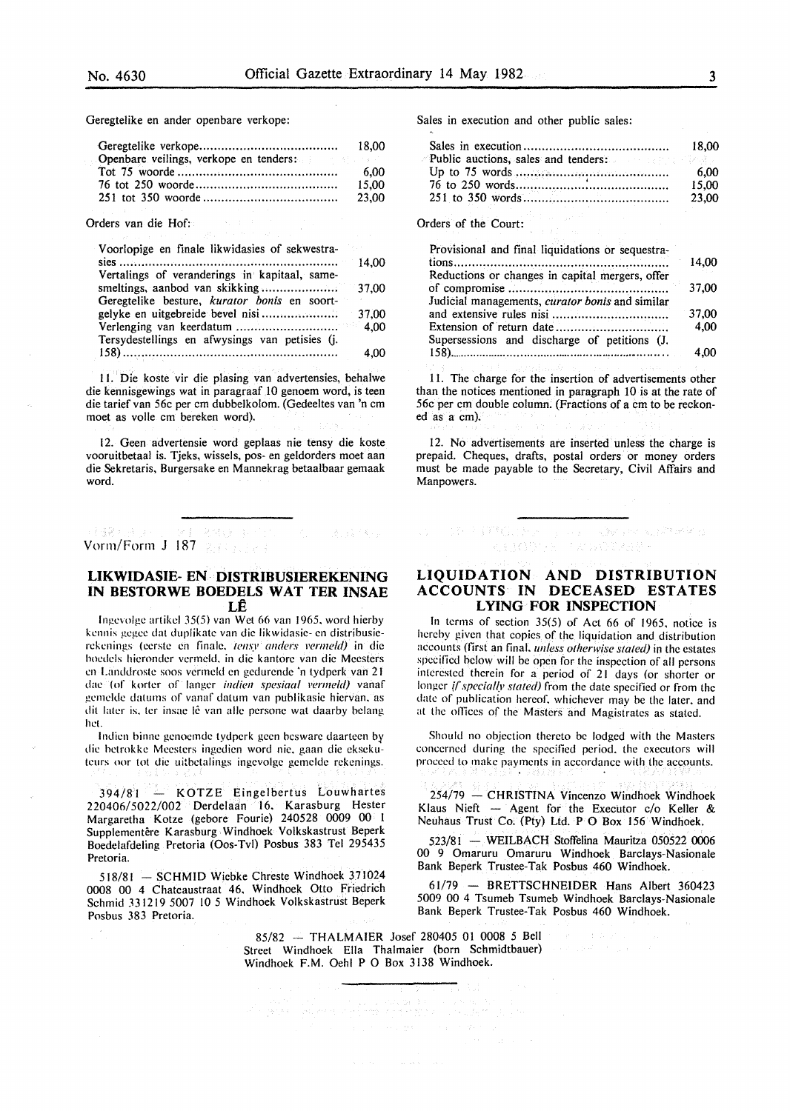(各) 经不安公司

Geregtelike en ander openbare verkope:

| Openbare veilings, verkope en tenders: |       |
|----------------------------------------|-------|
|                                        | 6.00  |
|                                        | 15.00 |
|                                        | 23.00 |

Orders van die Hof:

| Voorlopige en finale likwidasies of sekwestra- |       |
|------------------------------------------------|-------|
|                                                | 14.00 |
| Vertalings of veranderings in kapitaal, same-  |       |
|                                                |       |
| Geregtelike besture, kurator bonis en soort-   |       |
|                                                | 37,00 |
|                                                | 4.00  |
| Tersydestellings en afwysings van petisies (j. |       |
|                                                | 4,00  |

11. Die koste vir die plasing van advertensies, behalwe die kennisgewings wat in paragraaf 10 genoem word, is teen die tarief van 56c per em dubbelkolom. (Gedeeltes van 'n em moet as voile em bereken word).

12. Geen advertensie word geplaas nie tensy die koste vooruitbetaal is. Tjeks, wissels, pos-en geldorders moet aan die Sekretaris, Burgersake en Mannekrag betaalbaar gemaak word.

# Vorm/Form J 187

# **LIKWIDASIE- EN· DISTRIBUSIEREKENING IN BESTORWE BOEDELS WAT TER INSAE LE**

lngevolge artikd 35(5} van Wet 66 van 1965. word hierby kennis gegee dat duplikate van die likwidasie- en distribusierekenings (eerste en finale, tensy anders vermeld) in die hoedcls hicrondcr vermeld. in die kantore van die Meesters en Landdroste soos vcrmcld en gedurende 'n tydperk van 2 I dae (of korter of Ianger *indien spesiaa/ l'ermeld)* vanaf gemelde datums of vanaf datum van publikasie hiervan, as dit later is, ter insae lê van alle persone wat daarby belang het.

lndicn binne genoemde tydperk geen bcsware daarteen by die hetrokke Meestcrs ingedien word nie. gaan die eksekuteurs oor tot die uitbetalings ingevolge gemclde rekenings.

394/81 - KOTZE Eingelbertus Louwhartes 220406/5022/002 Derdelaan 16, Karasburg Hester Margaretha Kotze (gebore Fourie) 240528 0009 00 I Supplementêre Karasburg Windhoek Volkskastrust Beperk Boedelafdeling Pretoria (Oos-Tvl) Posbus 383 Tel 295435 Pretoria.

518/81 - SCHMID Wiebke Chreste Windhoek 371024 0008 00 4 Chateaustraat 46. Windhoek Otto Friedrich Schmid 331219 5007 10 *5* Windhoek Volkskastrust Beperk Posbus 383 Pretoria.

Sales in execution and other public sales:

|                                     | 18.00 |
|-------------------------------------|-------|
| Public auctions, sales and tenders: |       |
|                                     | 6.00  |
|                                     | 15.00 |
|                                     | 23.00 |

Orders of the Court:

| Provisional and final liquidations or sequestra- |       |
|--------------------------------------------------|-------|
|                                                  | 14,00 |
| Reductions or changes in capital mergers, offer  | 37,00 |
| Judicial managements, curator bonis and similar  | 37,00 |
| Supersessions and discharge of petitions (J.     | 4.00  |
|                                                  | 4.00  |

11. The charge for the insertion of advertisements other than the notices mentioned in paragraph 10 is at the rate of 56c per em double column. (Fractions of a em to be reckoned as a em).

12. No advertisements are inserted unless the charge is prepaid. Cheques, drafts, postal orders or money orders must be made payable to the Secretary, Civil Affairs and Manpowers.

# DE FINGEN DE LA COMPANIACIÓN KILSOVE TRADIBIRE

# **LIQUIDATION AND DISTRIBUTION ACCOUNTS IN DECEASED ESTATES LYING FOR INSPECTION**

In terms of section 35(5) of Act 66 of 1965. notice is hereby given that copies of the liquidation and distribution accounts (first an final. *unless otherwise slated)* in the estates specified below will be open for the inspection of all persons interested therein for a period of 21 days (or shorter or longer *{(special(v stated)* from the date specified or from the date of publication hereof. whichever may be the later, and at the offices of the Masters and Magistrates as stated.

Should no objection thereto be lodged with the Masters concerned during the specified period. the executors will proceed to make payments in accordance with the accounts.

254/79 - CHRISTINA Vincenzo Windhoek Windhoek Klaus Nieft - Agent for the Executor  $c/o$  Keller & Neuhaus Trust Co. (Pty) Ltd. P 0 Box 156 Windhoek.

523/81 - WEILBACH Stoffelina Mauritza 050522 0006 00 9 Omaruru Omaruru Windhoek Barclays-Nasionale Bank Beperk Trustee-Tak Posbus 460 Windhoek.

61/79 - BRETTSCHNEIDER Hans Albert 360423 5009 00 4 Tsumeb Tsumeb Windhoek Barclays-Nasionale Bank Beperk Trustee-Tak Posbus 460 Windhoek.

85/82 - THALMAIER Josef 280405 01 0008 *5* Bell Street Windhoek Ella Thalmaier (born Schmidtbauer) Windhoek F.M. Oehl P 0 Box 3138 Windhoek.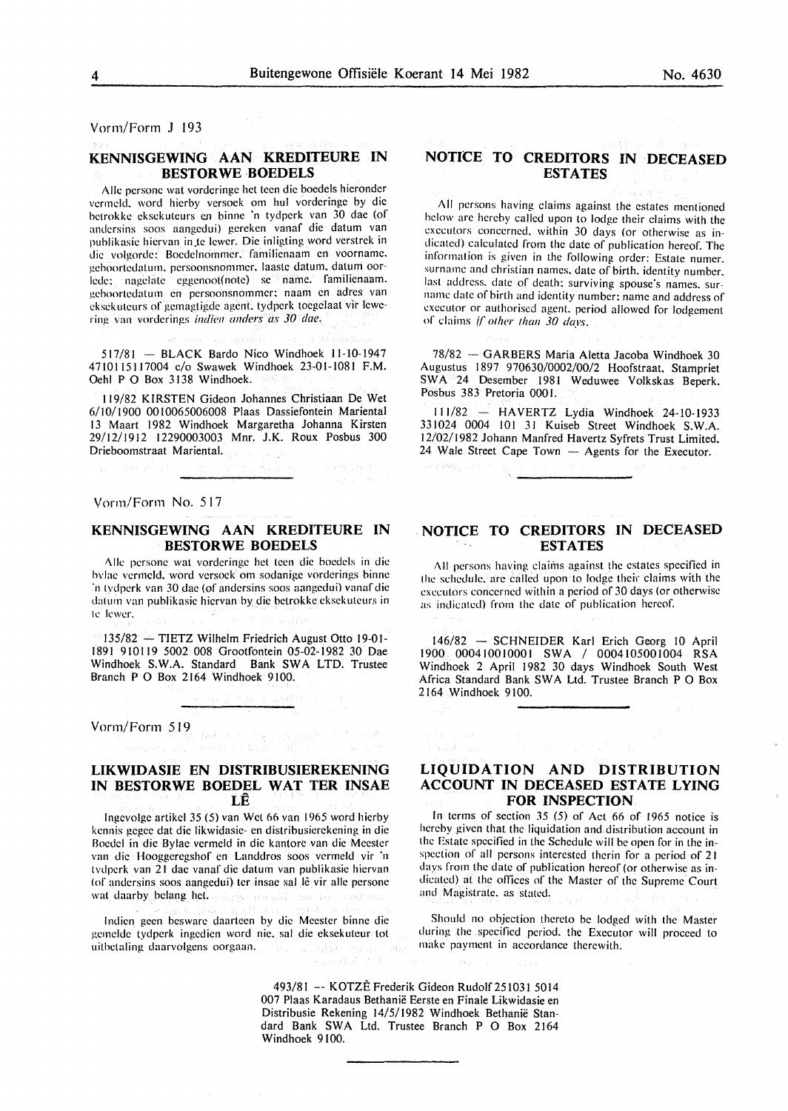Vorm/Form J 193

# **KENNISGEWING AAN KREDITEURE IN BESTORWE BOEDELS**

Alle persone wat vorderinge het teen die boedels hieronder vermeld, word hierby versoek om hul vorderinge by die hctrokkc eksekuteurs en binne 'n tydpcrk van 30 dae (of andersins soos aangedui) gerckcn vanaf die datum van publikasie hiervan in te lewer. Die inligting word verstrek in die volgorde: Bocdelnommer. familienaam en voorname. gcboorledalum. persoonsnommer. laasle datum. datum oorlede: nagelate eggenoot(note) se name. familienaam. geboortcdalum en persoonsnommcr: naam en adres van eksekuteurs of gemagtigde agent, tydperk toegelaat vir lewering van vorderings *indien anders as 30 dae.* 

517/81 - BLACK Bardo Nieo Windhoek 11-10-1947 4710115117004 c/o Swawek Windhoek 23-01-1081 F.M. Oehl P 0 Box 3138 Windhoek.

119/82 KIRSTEN Gideon Johannes Christiaan De Wet 6/10/1900 0010065006008 Plaas Dassiefontein Mariental 13 Maart 1982 Windhoek Margaretha Johanna Kirsten 29/12/1912 12290003003 Mnr. J.K. Roux Posbus 300 Drieboomstraat Mariental.

Vorm/Form No. 517

# **KENNISGEWING AAN KREDITEURE IN BESTORWE BOEDELS**

Aile pcrsone wat vorderinge hel teen die boedels in die lwlae vermeld. word versock om sodanige vorderings binne ·n tvdperk van 30 dae (of andersins soos aangedui) vanaf die datum van publikasie hiervan by die betrokke eksekuteurs in te lewer.

 $135/82$  -TIETZ Wilhelm Friedrich August Otto 19-01-1891 910119 5002 008 Grootfontein 05-02-1982 30 Dae Windhoek S.W.A. Standard Bank SWA LTD. Trustee Branch P 0 Box 2164 Windhoek 9100.

Vonn/Form 519

### **LIKWIDASIE EN DISTRIBUSIEREKENING IN BESTORWE BOEDEL WAT TER INSAE LE**

lngcvolge artikcl 35 (5) van Wet 66 van 1965 word hierby kennis gcgec dat die likwidasie- en dislribusierckening in die Bocdcl in die Bylae vermeld in die kantorc van die Meester van die Hooggeregshof en Landdros soos vermeld vir 'n tvdpcrk van 21 dac vanaf die datum van publikasic hiervan (of andersins soos aangedui) ter insae sal lê vir alle persone wat daarby belang het.

lndicn geen beswarc daartccn by die Meester binne die gemcldc tydpcrk ingedicn word nic. sal die eksekuteur tol uithetaling daarvolgens oorgaan. The state states and

# **NOTICE TO CREDITORS IN DECEASED ESTATES**

All persons having claims against the estates mentioned below arc hereby called upon to lodge their claims with the executors concerned. within 30 days (or otherwise as indicated) calculated from the date of publication hereof. The information is given in the following order: Estate numer. surname and christian names. date of birth. identity number. last address. date of death: surviving spouse's names. surname date of birth and identity number: name and address of executor or authorised agent. period allowed for lodgement of claims if *other than 30 days.* 

78/82 - GARBERS Maria Aletta Jacoba Windhoek 30 Augustus 1897 970630/0002/00/2 Hoofstraat, Stampriet SWA 24 Desember 1981 Weduwee Volkskas Beperk, Posbus 383 Pretoria 0001.

111/82 - HAVERTZ Lydia Windhoek 24-10-1933 331024 0004 101 31 Kuiseb Street Windhoek S.W.A. 12/02/1982 Johann Manfred Havertz Syfrets Trust Limited.  $24$  Wale Street Cape Town  $-$  Agents for the Executor.

# **NOTICE TO CREDITORS IN DECEASED ESTATES**

All persons having claims against the estates specified in the schedule. arc called upon to lodge their claims with the executors concerned within a period of 30 days (or otherwise as indicated) from the date of publication hereof.

146/82 - SCHNEIDER Karl Erich Georg 10 April 1900 000410010001 SWA I 0004105001004 RSA Windhoek 2 April 1982 30 days Windhoek South West Africa Standard Bank SW A Ltd. Trustee Branch P 0 Box 2164 Windhoek 9100.

# **LIQUIDATION AND DISTRIBUTION ACCOUNT IN DECEASED ESTATE LYING FOR INSPECTION**

In terms of section 35 (5) of Act 66 of 1965 notice is hereby given that the liquidation and distribution account in the Estate specified in the Schedule will be open for in the inspection of all persons interested therin for a period of 21 days from the date of publication hereof (or otherwise as indicated) at the offices of the Master of the Supreme Court and Magistrate. as staled.

Should no objection thereto be lodged with the Master during the specified period. the Executor will proceed to make payment in accordance therewith.

493/81 -- KOTZE Frederik Gideon Rudolf 251031 5014 007 Plaas Karadaus Bethanie Eerste en Finale Likwidasie en Distribusie Rekening 14/5/1982 Windhoek Bethanie Standard Bank SWA Ltd. Trustee Branch P O Box 2164 Windhoek 9100.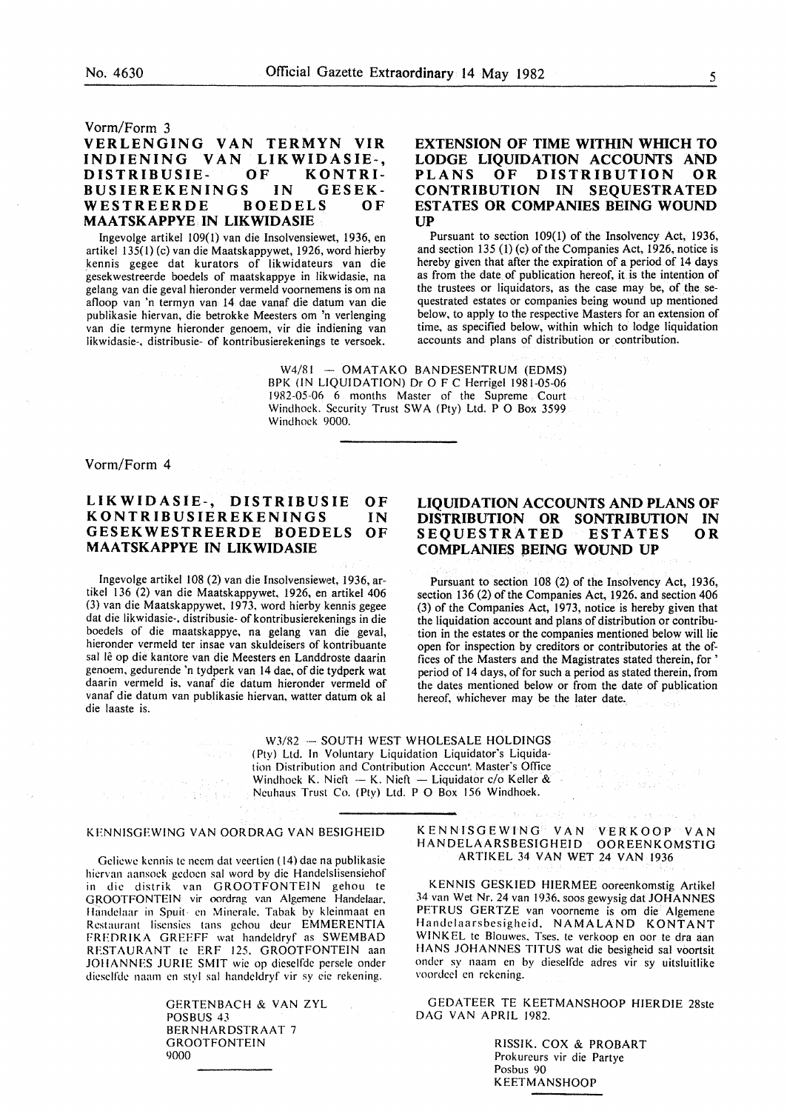#### Vorm/Form 3

# **VERLENGING VAN TERMYN VIR INDIENING VAN LIKWIDASIE-, DISTRIBUSIE- OF KONTRI-BUSIEREKENINGS IN GESEK-**WESTREERDE **MAATSKAPPYE IN LIKWIDASIE**

lngevolge artikel 109(1) van die Insolvensiewet, 1936, en artikel 135(1) (c) van die Maatskappywet, 1926, word hierby kennis gegee dat kurators of likwidateurs van die gesekwestreerde boedels of maatskappye in likwidasie, na gelang van die geval hieronder vermeld voornemens is om na atloop van 'n termyn van 14 dae vanaf die datum van die publikasie hiervan, die betrokke Meesters om 'n verlenging van die termyne hieronder genoem, vir die indiening van likwidasie-, distribusie- of kontribusierekenings te versoek.

# **EXTENSION OF TIME WITHIN WHICH TO LODGE LIQUIDATION ACCOUNTS AND PLANS OF DISTRIBUTION OR CONTRIBUTION IN SEQUESTRA TED ESTATES OR COMPANIES BEING WOUND UP**

Pursuant to section 109(1) of the Insolvency Act, 1936, and section 135 (1) (c) of the Companies Act, 1926, notice is hereby given that after the expiration of a period of 14 days as from the date of publication hereof, it is the intention of the trustees or liquidators, as the case may be, of the sequestrated estates or companies being wound up mentioned below, to apply to the respective Masters for an extension of time, as specified below, within which to lodge liquidation accounts and plans of distribution or contribution.

W4/81 - OMATAKO BANDESENTRUM (EDMS) BPK (IN LIQUIDATION) Dr 0 F C Herrigel 1981-05-06 1982-05-06 6 months Master of the Supreme Court Windhoek. Security Trust SWA (Pty) Ltd. P O Box 3599 Windhoek 9000.

Vorm/Form 4

#### **LIKWIDASIE-, DISTRIBUSIE KONTR IBUSIEREKENINGS GESEKWESTREERDE BOEDELS MAA TSKAPPYE IN LIKWIDASIE OF IN OF**

lngevolge artikel 108 (2) van die Insolvensiewet, 1936, artikel 136 (2) van die Maatskappywet, 1926, en artikel 406 (3) van die Maatskappywet, 1973, word hierby kennis gegee dat die likwidasie-. distribusie- of kontribusierekenings in die boedels of die maatskappye, na gelang van die geval, hieronder vermeld ter insae van skuldeisers of kontribuante sal lê op die kantore van die Meesters en Landdroste daarin genoem, gedurende 'n tydperk van 14 dae, of die tydperk wat daarin vermeld is, vanaf die datum hieronder vermeld of vanaf die datum van publikasie hiervan, watter datum ok al die laaste is.

# **LIQUIDATION ACCOUNTS AND PLANS OF DISTRIBUTION OR SONTRIBUTION IN SEQUESTRATED ESTATES OR COMPLANIES BEING WOUND UP**

Pursuant to section 108 (2) of the Insolvency Act, 1936, section 136 (2) of the Companies Act, 1926, and section 406 (3) of the Companies Act, 1973, notice is hereby given that the liquidation account and plans of distribution or contribution in the estates or the companies mentioned below will lie open for inspection by creditors or contributories at the offices of the Masters and the Magistrates stated therein, for ' period of 14 days, of for such a period as stated therein, from the dates mentioned below or from the date of publication hereof, whichever may be the later date.

W3/82 - SOUTH WEST WHOLESALE HOLDINGS ( Pty) Ltd. In Voluntary Liquidation Liquidator's Liquidation Distribution and Contribution Acccun<sup>t</sup> Master's Office Windhoek K. Nieft - K. Nieft - Liquidator c/o Keller & Neuhaus Trust Co. (Pty) Ltd. P 0 Box 156 Windhoek.

### KENNISGEWING VAN OORDRAG VAN BESIGHEID

(第1回) あん 第二次数据重编

Gelicwc kennis te neern dat veertien ( 14) dae na publikasie hicrvan aansoek gedoen sal word by die Handelslisensiehof in die distrik van GROOTFONTEIN gehou te GROOTFONTEIN vir oordrag van Algemene Handelaar. Handelaar in Spuit en Minerale. Tabak by kleinmaat en Restaurant lisensics tans gehou deur EMMERENTIA FREORIKA GREEFF wat handeldryf as SWEMBAD RESTAURANT te ERF 125. GROOTFONTEIN aan JOHANNES JURIE SMIT wie op dieselfde persele onder dieselfde naam en styl sal handeldryf vir sy eie rekening.

> GERTENBACH & VAN ZYL POSBUS 43 BERNHARDSTRAAT 7 GROOTFONTEIN 9000

# KENNISGEWING VAN VERKOOP VAN HANDELAARSBESIGHEID OOREENKOMSTIG ARTIKEL 34 VAN WET 24 VAN 1936

 $\sim$ 

KENNIS GESKIED HIERMEE ooreenkomstig Artikel 34 van Wet Nr. 24 van 1936. soos gewysig dat JOHANNES PETRUS GERTZE van voorneme is om die Algemene Handelaarsbesigheid. NAMALAND KONTANT WINKEL te Blouwes. Tses. te verkoop en oor te dra aan HANS JOHANNES TITUS wat die besigheid sal voortsit onder sy naarn en by dieselfdc adres vir sy uitsluitlike voordcel en rekening.

GEDATEER TE KEETMANSHOOP HIERDIE 28ste DAG VAN APRIL 1982.

> RISSIK. COX & PROBART Prokureurs vir die Partye Posbus 90 KEETMANSHOOP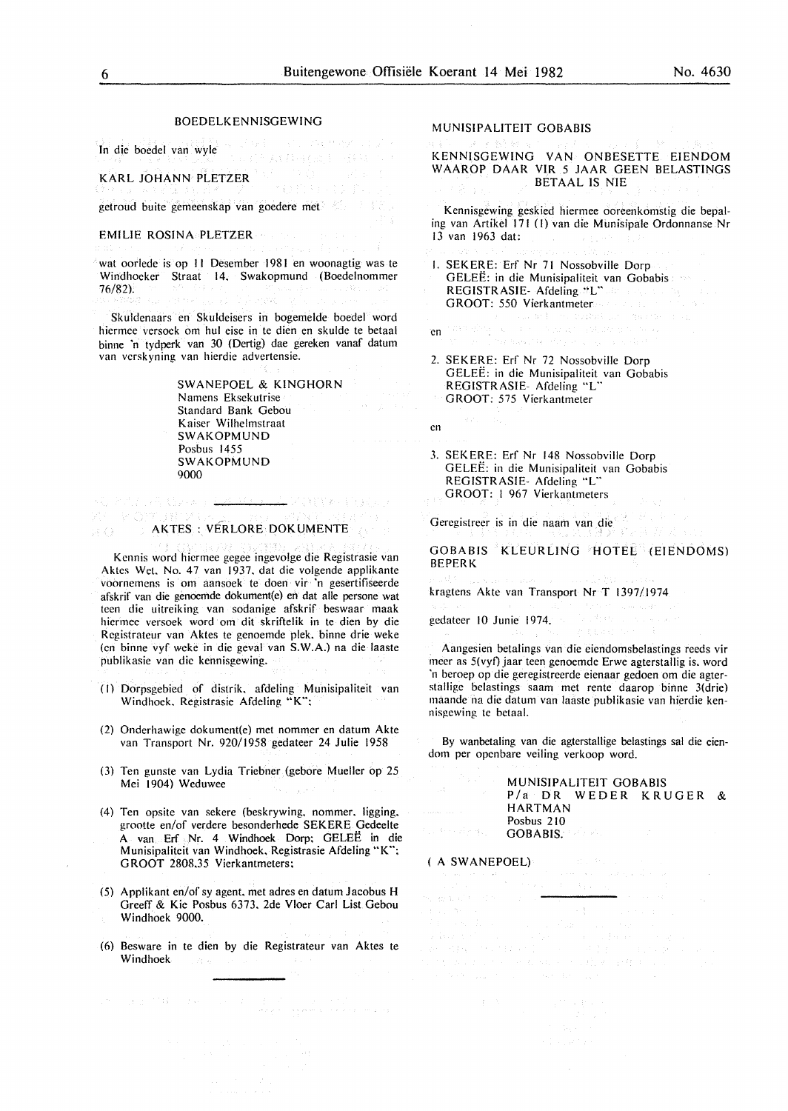#### BOEDELKENNISGEWING

In die boedel van wyle

学者支持実施の

KARL JOHANN PLETZER

getroud buite gemeenskap van goedere met

#### EMILIE ROSINA PLETZER

wat oorlede is op II Desember 1981 en woonagtig was te Windhocker Straat 14. Swakopmund (Boedelnommer 76/82).

Skuldenaars en Skuldeisers in bogemelde boedel word hiermee versoek om hul eise in te dien en skulde te betaal binne 'n tydperk van 30 (Dertig) dae gereken vanaf datum van vcrskyning van hierdie advertensie.

> SWANEPOEL & KINGHORN Namens Eksekutrise Standard Bank Gebou Kaiser Wilhclmstraat SWAKOPMUND Posbus 1455 SWAKOPMUND 9000

#### ro a tra de <del>La Millia I</del> dotta etal. WE KOMUNIK AKTES: VERLORE DOKUMENTE

Kcnnis word hicrmec gegee ingevolge die Registrasie van Aktcs Wet. No. 47 van 1937. dat die volgende applikante voornemens is om aansoek te doen vir 'n gesertifiseerde afskrif van die genoemde dokument(e) en dat aile persone wat teen die uitrciking van sodanige afskrif beswaar maak hiermee versoek word om dit skriftelik in te dien by die Rcgistrateur van Aktes te genoemde pick, binne drie weke (en binnc vyf wcke in die geval van S.W.A.) na die laaste publikasie van die kennisgewing.

- (I) Dorpsgebied of distrik. afdeling Munisipaliteit van Windhoek. Registrasie Afdeling "K":
- (2) Onderhawige dokument(e) met nommer en datum Akte van Transport Nr. 920/1958 gedateer 24 Julie 1958
- (3) Ten gunste van Lydia Tricbner (gebore Mueller op 25 Mei 1904) Weduwee
- (4) Ten opsite van sekere (beskrywing, nommer, ligging, grootte en/of verdere besonderhede SEKERE Gedeelte A van Erf Nr. 4 Windhoek Dorp: GELEE in die Munisipaliteit van Windhoek, Registrasie Afdeling "K": GROOT 2808.35 Vierkantmeters;
- (5) Applikant en/of sy agent, met adres en datum Jacobus H Greeff & Kie Posbus 6373, 2de Vloer Carl List Gebou Windhoek 9000.
- (6) Besware in te dien by die Registrateur van Aktes te Windhoek

Sand MAC developed

#### MUNISIPALITEIT GOBABIS

KENNISGEWING VAN ONBESETTE EIENDOM WAAROP DAAR VIR 5 JAAR GEEN BELASTINGS BET AAL IS NIE

Kennisgewing geskied hiermee ooreenkomstig die bepaling van Artikel 171 (I) van die Munisipale Ordonnanse Nr 13 van 1963 dat:

- I. SEKERE: Erf Nr 71 Nossobville Dorp GELEE: in die Munisipaliteit van Gobabis REGISTRASIE- Afdeling "L" GROOT: 550 Vierkantmeter
	- i katalistika (d. 1939)<br>Morrison (Machinesotae) (d.
- 2. SEKERE: Erf Nr 72 Nossobville Dorp GELEE: in die Munisipalitcit van Gobabis REGISTRASIE- Afdeling "L" GROOT: 575 Vierkantmeter

en

en

3. SEKERE: Erf Nr 148 Nossobville Dorp GELEE: in die Munisipaliteit van Gobabis REGISTRASIE- Afdeling "L" GROOT: I 967 Vierkantmeters

Gercgistreer is in die naam van die

GOBABIS KLEURLING HOTEL (EIENDOMS) BEPERK

kragtens Akte van Transport Nr T 1397/1974

gcdatcer 10 Junie 1974.

Aangesien betalings van die ciendomsbelastings reeds vir meer as 5(vyf) jaar teen genoemde Erwe agterstallig is. word 'n beroep op die geregistreerde eienaar gedoen om die agterstallige belastings saam met rente daarop binne 3(drie) maande na die datum van laaste publikasie van hierdie kennisgewing te betaal.

By wanbetaling van die agterstallige belastings sal die eiendom per openbare veiling verkoop word.

#### MUNISIPALITEIT GOBABIS P/a DR WEDER KRUGER & HARTMAN Posbus 210 GOBABIS.

#### ( A SWANEPOEL)

 $\sim$   $\pm$ 

ta Ka